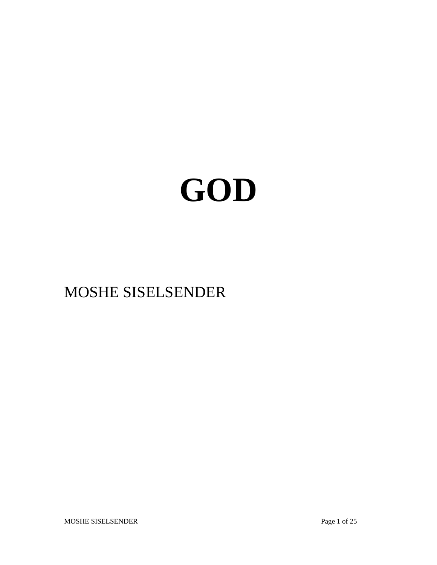# **GOD**

# MOSHE SISELSENDER

MOSHE SISELSENDER Page 1 of 25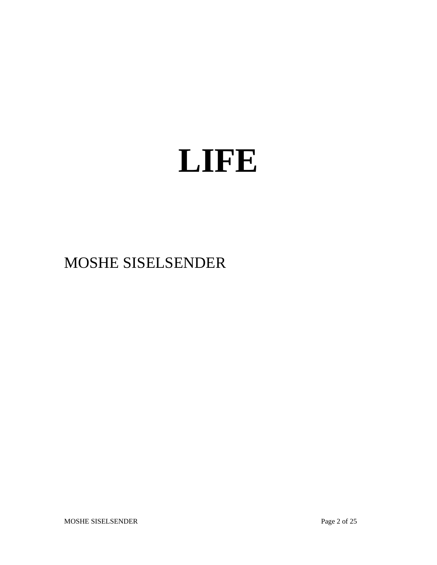# **LIFE**

# MOSHE SISELSENDER

MOSHE SISELSENDER Page 2 of 25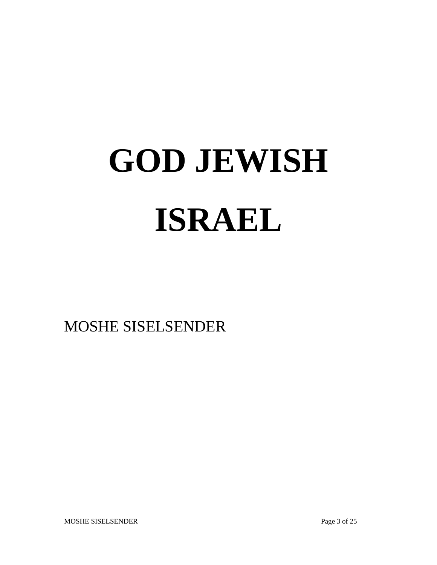# **GOD JEWISH ISRAEL**

MOSHE SISELSENDER

MOSHE SISELSENDER Page 3 of 25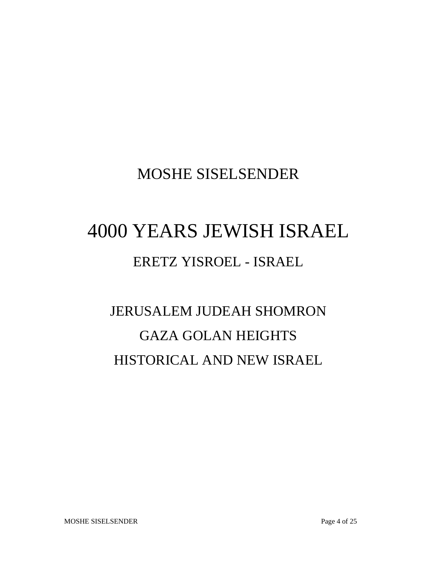## MOSHE SISELSENDER

# 4000 YEARS JEWISH ISRAEL

### ERETZ YISROEL - ISRAEL

# JERUSALEM JUDEAH SHOMRON GAZA GOLAN HEIGHTS HISTORICAL AND NEW ISRAEL

MOSHE SISELSENDER Page 4 of 25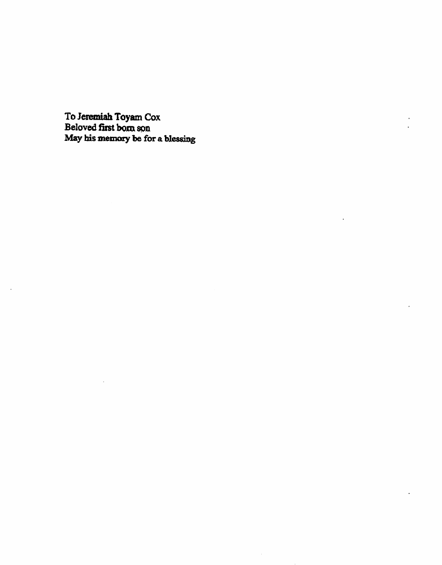To Jeremiah Toyam Cox<br>Beloved first born son<br>May his memory be for a blessing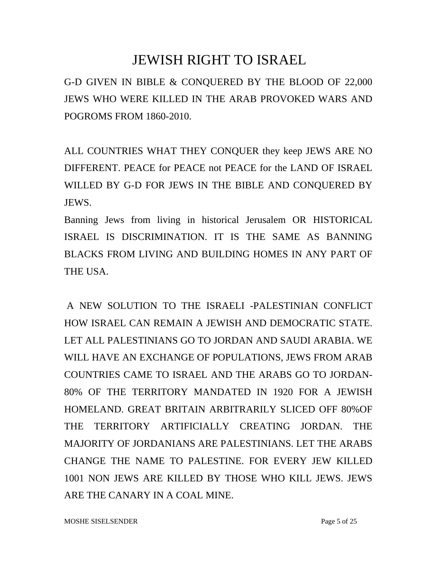#### JEWISH RIGHT TO ISRAEL

G-D GIVEN IN BIBLE & CONQUERED BY THE BLOOD OF 22,000 JEWS WHO WERE KILLED IN THE ARAB PROVOKED WARS AND POGROMS FROM 1860-2010.

ALL COUNTRIES WHAT THEY CONQUER they keep JEWS ARE NO DIFFERENT. PEACE for PEACE not PEACE for the LAND OF ISRAEL WILLED BY G-D FOR JEWS IN THE BIBLE AND CONQUERED BY JEWS.

Banning Jews from living in historical Jerusalem OR HISTORICAL ISRAEL IS DISCRIMINATION. IT IS THE SAME AS BANNING BLACKS FROM LIVING AND BUILDING HOMES IN ANY PART OF THE USA.

 A NEW SOLUTION TO THE ISRAELI -PALESTINIAN CONFLICT HOW ISRAEL CAN REMAIN A JEWISH AND DEMOCRATIC STATE. LET ALL PALESTINIANS GO TO JORDAN AND SAUDI ARABIA. WE WILL HAVE AN EXCHANGE OF POPULATIONS, JEWS FROM ARAB COUNTRIES CAME TO ISRAEL AND THE ARABS GO TO JORDAN-80% OF THE TERRITORY MANDATED IN 1920 FOR A JEWISH HOMELAND. GREAT BRITAIN ARBITRARILY SLICED OFF 80%OF THE TERRITORY ARTIFICIALLY CREATING JORDAN. THE MAJORITY OF JORDANIANS ARE PALESTINIANS. LET THE ARABS CHANGE THE NAME TO PALESTINE. FOR EVERY JEW KILLED 1001 NON JEWS ARE KILLED BY THOSE WHO KILL JEWS. JEWS ARE THE CANARY IN A COAL MINE.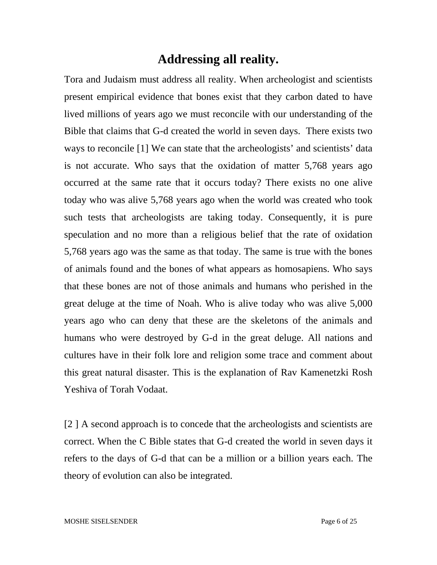#### **Addressing all reality.**

Tora and Judaism must address all reality. When archeologist and scientists present empirical evidence that bones exist that they carbon dated to have lived millions of years ago we must reconcile with our understanding of the Bible that claims that G-d created the world in seven days. There exists two ways to reconcile [1] We can state that the archeologists' and scientists' data is not accurate. Who says that the oxidation of matter 5,768 years ago occurred at the same rate that it occurs today? There exists no one alive today who was alive 5,768 years ago when the world was created who took such tests that archeologists are taking today. Consequently, it is pure speculation and no more than a religious belief that the rate of oxidation 5,768 years ago was the same as that today. The same is true with the bones of animals found and the bones of what appears as homosapiens. Who says that these bones are not of those animals and humans who perished in the great deluge at the time of Noah. Who is alive today who was alive 5,000 years ago who can deny that these are the skeletons of the animals and humans who were destroyed by G-d in the great deluge. All nations and cultures have in their folk lore and religion some trace and comment about this great natural disaster. This is the explanation of Rav Kamenetzki Rosh Yeshiva of Torah Vodaat.

[2 ] A second approach is to concede that the archeologists and scientists are correct. When the C Bible states that G-d created the world in seven days it refers to the days of G-d that can be a million or a billion years each. The theory of evolution can also be integrated.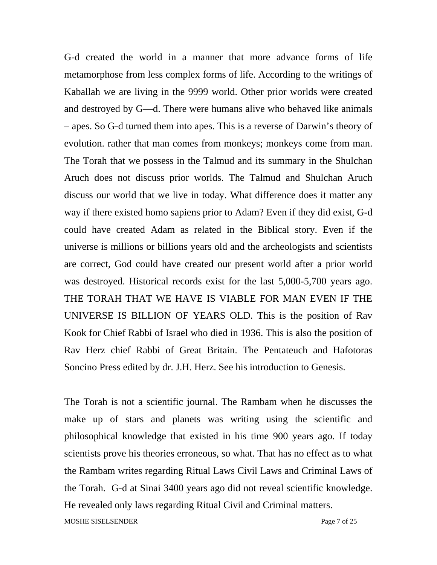G-d created the world in a manner that more advance forms of life metamorphose from less complex forms of life. According to the writings of Kaballah we are living in the 9999 world. Other prior worlds were created and destroyed by G—d. There were humans alive who behaved like animals – apes. So G-d turned them into apes. This is a reverse of Darwin's theory of evolution. rather that man comes from monkeys; monkeys come from man. The Torah that we possess in the Talmud and its summary in the Shulchan Aruch does not discuss prior worlds. The Talmud and Shulchan Aruch discuss our world that we live in today. What difference does it matter any way if there existed homo sapiens prior to Adam? Even if they did exist, G-d could have created Adam as related in the Biblical story. Even if the universe is millions or billions years old and the archeologists and scientists are correct, God could have created our present world after a prior world was destroyed. Historical records exist for the last 5,000-5,700 years ago. THE TORAH THAT WE HAVE IS VIABLE FOR MAN EVEN IF THE UNIVERSE IS BILLION OF YEARS OLD. This is the position of Rav Kook for Chief Rabbi of Israel who died in 1936. This is also the position of Rav Herz chief Rabbi of Great Britain. The Pentateuch and Hafotoras Soncino Press edited by dr. J.H. Herz. See his introduction to Genesis.

The Torah is not a scientific journal. The Rambam when he discusses the make up of stars and planets was writing using the scientific and philosophical knowledge that existed in his time 900 years ago. If today scientists prove his theories erroneous, so what. That has no effect as to what the Rambam writes regarding Ritual Laws Civil Laws and Criminal Laws of the Torah. G-d at Sinai 3400 years ago did not reveal scientific knowledge. He revealed only laws regarding Ritual Civil and Criminal matters. MOSHE SISELSENDER Page 7 of 25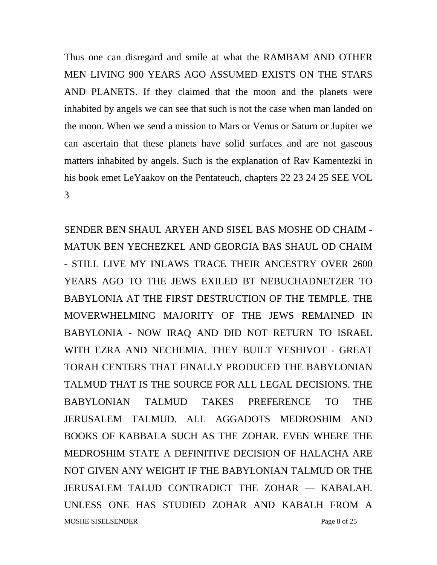Thus one can disregard and smile at what the RAMBAM AND OTHER MEN LIVING 900 YEARS AGO ASSUMED EXISTS ON THE STARS AND PLANETS. If they claimed that the moon and the planets were inhabited by angels we can see that such is not the case when man landed on the moon. When we send a mission to Mars or Venus or Saturn or Jupiter we can ascertain that these planets have solid surfaces and are not gaseous matters inhabited by angels. Such is the explanation of Rav Kamentezki in his book emet LeYaakov on the Pentateuch, chapters 22 23 24 25 SEE VOL 3

SENDER BEN SHAUL ARYEH AND SISEL BAS MOSHE OD CHAIM - MATUK BEN YECHEZKEL AND GEORGIA BAS SHAUL OD CHAIM - STILL LIVE MY INLAWS TRACE THEIR ANCESTRY OVER 2600 YEARS AGO TO THE JEWS EXILED BT NEBUCHADNETZER TO BABYLONIA AT THE FIRST DESTRUCTION OF THE TEMPLE. THE MOVERWHELMING MAJORITY OF THE JEWS REMAINED IN BABYLONIA - NOW IRAQ AND DID NOT RETURN TO ISRAEL WITH EZRA AND NECHEMIA. THEY BUILT YESHIVOT - GREAT TORAH CENTERS THAT FINALLY PRODUCED THE BABYLONIAN TALMUD THAT IS THE SOURCE FOR ALL LEGAL DECISIONS. THE BABYLONIAN TALMUD TAKES PREFERENCE TO THE JERUSALEM TALMUD. ALL AGGADOTS MEDROSHIM AND BOOKS OF KABBALA SUCH AS THE ZOHAR. EVEN WHERE THE MEDROSHIM STATE A DEFINITIVE DECISION OF HALACHA ARE NOT GIVEN ANY WEIGHT IF THE BABYLONIAN TALMUD OR THE JERUSALEM TALUD CONTRADICT THE ZOHAR — KABALAH. UNLESS ONE HAS STUDIED ZOHAR AND KABALH FROM A MOSHE SISELSENDER Page 8 of 25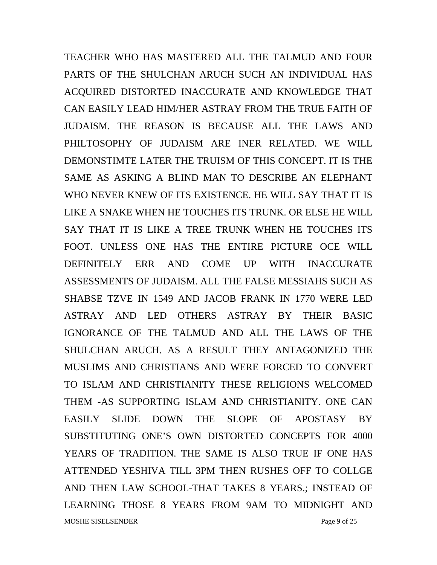TEACHER WHO HAS MASTERED ALL THE TALMUD AND FOUR PARTS OF THE SHULCHAN ARUCH SUCH AN INDIVIDUAL HAS ACQUIRED DISTORTED INACCURATE AND KNOWLEDGE THAT CAN EASILY LEAD HIM/HER ASTRAY FROM THE TRUE FAITH OF JUDAISM. THE REASON IS BECAUSE ALL THE LAWS AND PHILTOSOPHY OF JUDAISM ARE INER RELATED. WE WILL DEMONSTIMTE LATER THE TRUISM OF THIS CONCEPT. IT IS THE SAME AS ASKING A BLIND MAN TO DESCRIBE AN ELEPHANT WHO NEVER KNEW OF ITS EXISTENCE. HE WILL SAY THAT IT IS LIKE A SNAKE WHEN HE TOUCHES ITS TRUNK. OR ELSE HE WILL SAY THAT IT IS LIKE A TREE TRUNK WHEN HE TOUCHES ITS FOOT. UNLESS ONE HAS THE ENTIRE PICTURE OCE WILL DEFINITELY ERR AND COME UP WITH INACCURATE ASSESSMENTS OF JUDAISM. ALL THE FALSE MESSIAHS SUCH AS SHABSE TZVE IN 1549 AND JACOB FRANK IN 1770 WERE LED ASTRAY AND LED OTHERS ASTRAY BY THEIR BASIC IGNORANCE OF THE TALMUD AND ALL THE LAWS OF THE SHULCHAN ARUCH. AS A RESULT THEY ANTAGONIZED THE MUSLIMS AND CHRISTIANS AND WERE FORCED TO CONVERT TO ISLAM AND CHRISTIANITY THESE RELIGIONS WELCOMED THEM -AS SUPPORTING ISLAM AND CHRISTIANITY. ONE CAN EASILY SLIDE DOWN THE SLOPE OF APOSTASY BY SUBSTITUTING ONE'S OWN DISTORTED CONCEPTS FOR 4000 YEARS OF TRADITION. THE SAME IS ALSO TRUE IF ONE HAS ATTENDED YESHIVA TILL 3PM THEN RUSHES OFF TO COLLGE AND THEN LAW SCHOOL-THAT TAKES 8 YEARS.; INSTEAD OF LEARNING THOSE 8 YEARS FROM 9AM TO MIDNIGHT AND MOSHE SISELSENDER Page 9 of 25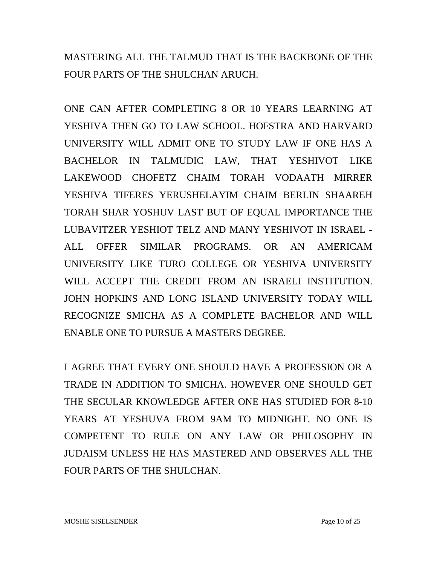MASTERING ALL THE TALMUD THAT IS THE BACKBONE OF THE FOUR PARTS OF THE SHULCHAN ARUCH.

ONE CAN AFTER COMPLETING 8 OR 10 YEARS LEARNING AT YESHIVA THEN GO TO LAW SCHOOL. HOFSTRA AND HARVARD UNIVERSITY WILL ADMIT ONE TO STUDY LAW IF ONE HAS A BACHELOR IN TALMUDIC LAW, THAT YESHIVOT LIKE LAKEWOOD CHOFETZ CHAIM TORAH VODAATH MIRRER YESHIVA TIFERES YERUSHELAYIM CHAIM BERLIN SHAAREH TORAH SHAR YOSHUV LAST BUT OF EQUAL IMPORTANCE THE LUBAVITZER YESHIOT TELZ AND MANY YESHIVOT IN ISRAEL - ALL OFFER SIMILAR PROGRAMS. OR AN AMERICAM UNIVERSITY LIKE TURO COLLEGE OR YESHIVA UNIVERSITY WILL ACCEPT THE CREDIT FROM AN ISRAELI INSTITUTION. JOHN HOPKINS AND LONG ISLAND UNIVERSITY TODAY WILL RECOGNIZE SMICHA AS A COMPLETE BACHELOR AND WILL ENABLE ONE TO PURSUE A MASTERS DEGREE.

I AGREE THAT EVERY ONE SHOULD HAVE A PROFESSION OR A TRADE IN ADDITION TO SMICHA. HOWEVER ONE SHOULD GET THE SECULAR KNOWLEDGE AFTER ONE HAS STUDIED FOR 8-10 YEARS AT YESHUVA FROM 9AM TO MIDNIGHT. NO ONE IS COMPETENT TO RULE ON ANY LAW OR PHILOSOPHY IN JUDAISM UNLESS HE HAS MASTERED AND OBSERVES ALL THE FOUR PARTS OF THE SHULCHAN.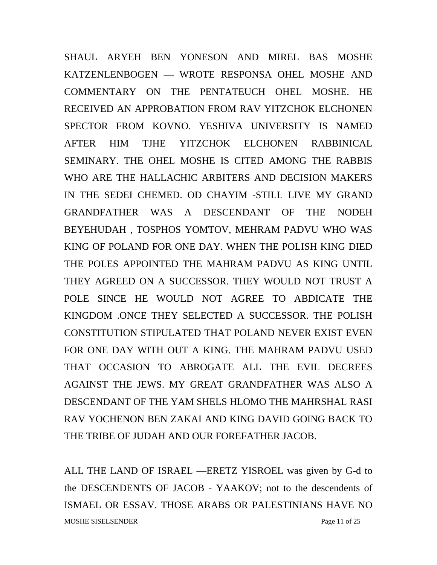SHAUL ARYEH BEN YONESON AND MIREL BAS MOSHE KATZENLENBOGEN — WROTE RESPONSA OHEL MOSHE AND COMMENTARY ON THE PENTATEUCH OHEL MOSHE. HE RECEIVED AN APPROBATION FROM RAV YITZCHOK ELCHONEN SPECTOR FROM KOVNO. YESHIVA UNIVERSITY IS NAMED AFTER HIM TJHE YITZCHOK ELCHONEN RABBINICAL SEMINARY. THE OHEL MOSHE IS CITED AMONG THE RABBIS WHO ARE THE HALLACHIC ARBITERS AND DECISION MAKERS IN THE SEDEI CHEMED. OD CHAYIM -STILL LIVE MY GRAND GRANDFATHER WAS A DESCENDANT OF THE NODEH BEYEHUDAH , TOSPHOS YOMTOV, MEHRAM PADVU WHO WAS KING OF POLAND FOR ONE DAY. WHEN THE POLISH KING DIED THE POLES APPOINTED THE MAHRAM PADVU AS KING UNTIL THEY AGREED ON A SUCCESSOR. THEY WOULD NOT TRUST A POLE SINCE HE WOULD NOT AGREE TO ABDICATE THE KINGDOM .ONCE THEY SELECTED A SUCCESSOR. THE POLISH CONSTITUTION STIPULATED THAT POLAND NEVER EXIST EVEN FOR ONE DAY WITH OUT A KING. THE MAHRAM PADVU USED THAT OCCASION TO ABROGATE ALL THE EVIL DECREES AGAINST THE JEWS. MY GREAT GRANDFATHER WAS ALSO A DESCENDANT OF THE YAM SHELS HLOMO THE MAHRSHAL RASI RAV YOCHENON BEN ZAKAI AND KING DAVID GOING BACK TO THE TRIBE OF JUDAH AND OUR FOREFATHER JACOB.

ALL THE LAND OF ISRAEL —ERETZ YISROEL was given by G-d to the DESCENDENTS OF JACOB - YAAKOV; not to the descendents of ISMAEL OR ESSAV. THOSE ARABS OR PALESTINIANS HAVE NO MOSHE SISELSENDER Page 11 of 25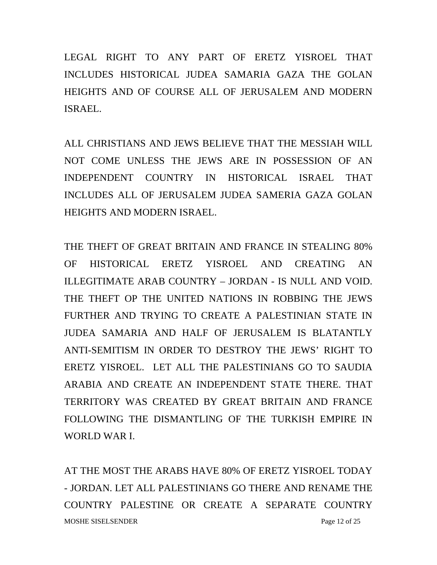LEGAL RIGHT TO ANY PART OF ERETZ YISROEL THAT INCLUDES HISTORICAL JUDEA SAMARIA GAZA THE GOLAN HEIGHTS AND OF COURSE ALL OF JERUSALEM AND MODERN ISRAEL.

ALL CHRISTIANS AND JEWS BELIEVE THAT THE MESSIAH WILL NOT COME UNLESS THE JEWS ARE IN POSSESSION OF AN INDEPENDENT COUNTRY IN HISTORICAL ISRAEL THAT INCLUDES ALL OF JERUSALEM JUDEA SAMERIA GAZA GOLAN HEIGHTS AND MODERN ISRAEL.

THE THEFT OF GREAT BRITAIN AND FRANCE IN STEALING 80% OF HISTORICAL ERETZ YISROEL AND CREATING AN ILLEGITIMATE ARAB COUNTRY – JORDAN - IS NULL AND VOID. THE THEFT OP THE UNITED NATIONS IN ROBBING THE JEWS FURTHER AND TRYING TO CREATE A PALESTINIAN STATE IN JUDEA SAMARIA AND HALF OF JERUSALEM IS BLATANTLY ANTI-SEMITISM IN ORDER TO DESTROY THE JEWS' RIGHT TO ERETZ YISROEL. LET ALL THE PALESTINIANS GO TO SAUDIA ARABIA AND CREATE AN INDEPENDENT STATE THERE. THAT TERRITORY WAS CREATED BY GREAT BRITAIN AND FRANCE FOLLOWING THE DISMANTLING OF THE TURKISH EMPIRE IN WORLD WAR I.

AT THE MOST THE ARABS HAVE 80% OF ERETZ YISROEL TODAY - JORDAN. LET ALL PALESTINIANS GO THERE AND RENAME THE COUNTRY PALESTINE OR CREATE A SEPARATE COUNTRY MOSHE SISELSENDER Page 12 of 25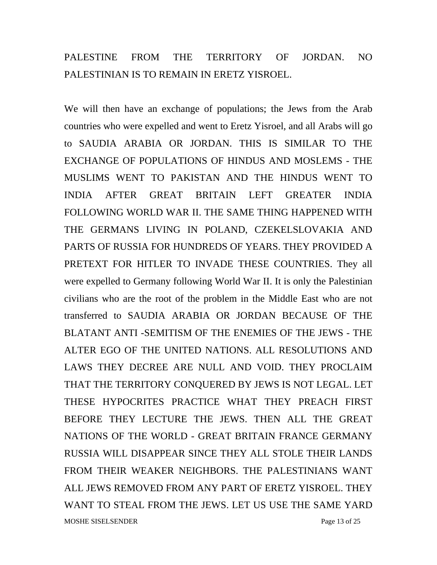#### PALESTINE FROM THE TERRITORY OF JORDAN. NO PALESTINIAN IS TO REMAIN IN ERETZ YISROEL.

We will then have an exchange of populations; the Jews from the Arab countries who were expelled and went to Eretz Yisroel, and all Arabs will go to SAUDIA ARABIA OR JORDAN. THIS IS SIMILAR TO THE EXCHANGE OF POPULATIONS OF HINDUS AND MOSLEMS - THE MUSLIMS WENT TO PAKISTAN AND THE HINDUS WENT TO INDIA AFTER GREAT BRITAIN LEFT GREATER INDIA FOLLOWING WORLD WAR II. THE SAME THING HAPPENED WITH THE GERMANS LIVING IN POLAND, CZEKELSLOVAKIA AND PARTS OF RUSSIA FOR HUNDREDS OF YEARS. THEY PROVIDED A PRETEXT FOR HITLER TO INVADE THESE COUNTRIES. They all were expelled to Germany following World War II. It is only the Palestinian civilians who are the root of the problem in the Middle East who are not transferred to SAUDIA ARABIA OR JORDAN BECAUSE OF THE BLATANT ANTI -SEMITISM OF THE ENEMIES OF THE JEWS - THE ALTER EGO OF THE UNITED NATIONS. ALL RESOLUTIONS AND LAWS THEY DECREE ARE NULL AND VOID. THEY PROCLAIM THAT THE TERRITORY CONQUERED BY JEWS IS NOT LEGAL. LET THESE HYPOCRITES PRACTICE WHAT THEY PREACH FIRST BEFORE THEY LECTURE THE JEWS. THEN ALL THE GREAT NATIONS OF THE WORLD - GREAT BRITAIN FRANCE GERMANY RUSSIA WILL DISAPPEAR SINCE THEY ALL STOLE THEIR LANDS FROM THEIR WEAKER NEIGHBORS. THE PALESTINIANS WANT ALL JEWS REMOVED FROM ANY PART OF ERETZ YISROEL. THEY WANT TO STEAL FROM THE JEWS. LET US USE THE SAME YARD MOSHE SISELSENDER Page 13 of 25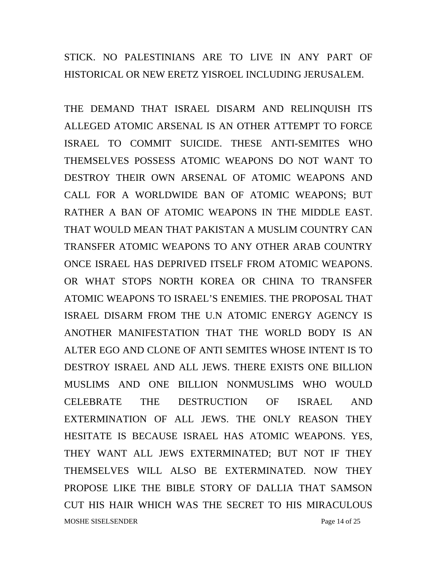STICK. NO PALESTINIANS ARE TO LIVE IN ANY PART OF HISTORICAL OR NEW ERETZ YISROEL INCLUDING JERUSALEM.

THE DEMAND THAT ISRAEL DISARM AND RELINQUISH ITS ALLEGED ATOMIC ARSENAL IS AN OTHER ATTEMPT TO FORCE ISRAEL TO COMMIT SUICIDE. THESE ANTI-SEMITES WHO THEMSELVES POSSESS ATOMIC WEAPONS DO NOT WANT TO DESTROY THEIR OWN ARSENAL OF ATOMIC WEAPONS AND CALL FOR A WORLDWIDE BAN OF ATOMIC WEAPONS; BUT RATHER A BAN OF ATOMIC WEAPONS IN THE MIDDLE EAST. THAT WOULD MEAN THAT PAKISTAN A MUSLIM COUNTRY CAN TRANSFER ATOMIC WEAPONS TO ANY OTHER ARAB COUNTRY ONCE ISRAEL HAS DEPRIVED ITSELF FROM ATOMIC WEAPONS. OR WHAT STOPS NORTH KOREA OR CHINA TO TRANSFER ATOMIC WEAPONS TO ISRAEL'S ENEMIES. THE PROPOSAL THAT ISRAEL DISARM FROM THE U.N ATOMIC ENERGY AGENCY IS ANOTHER MANIFESTATION THAT THE WORLD BODY IS AN ALTER EGO AND CLONE OF ANTI SEMITES WHOSE INTENT IS TO DESTROY ISRAEL AND ALL JEWS. THERE EXISTS ONE BILLION MUSLIMS AND ONE BILLION NONMUSLIMS WHO WOULD CELEBRATE THE DESTRUCTION OF ISRAEL AND EXTERMINATION OF ALL JEWS. THE ONLY REASON THEY HESITATE IS BECAUSE ISRAEL HAS ATOMIC WEAPONS. YES, THEY WANT ALL JEWS EXTERMINATED; BUT NOT IF THEY THEMSELVES WILL ALSO BE EXTERMINATED. NOW THEY PROPOSE LIKE THE BIBLE STORY OF DALLIA THAT SAMSON CUT HIS HAIR WHICH WAS THE SECRET TO HIS MIRACULOUS MOSHE SISELSENDER Page 14 of 25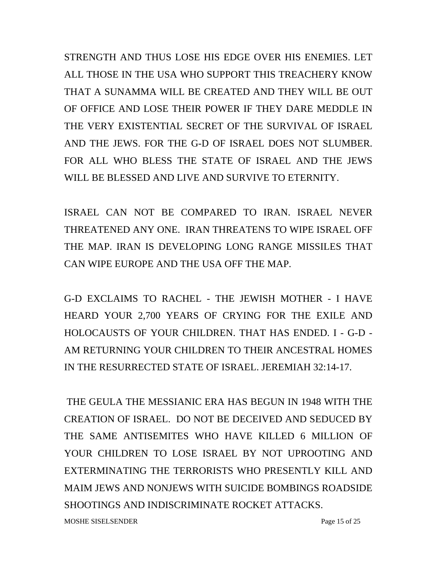STRENGTH AND THUS LOSE HIS EDGE OVER HIS ENEMIES. LET ALL THOSE IN THE USA WHO SUPPORT THIS TREACHERY KNOW THAT A SUNAMMA WILL BE CREATED AND THEY WILL BE OUT OF OFFICE AND LOSE THEIR POWER IF THEY DARE MEDDLE IN THE VERY EXISTENTIAL SECRET OF THE SURVIVAL OF ISRAEL AND THE JEWS. FOR THE G-D OF ISRAEL DOES NOT SLUMBER. FOR ALL WHO BLESS THE STATE OF ISRAEL AND THE JEWS WILL BE BLESSED AND LIVE AND SURVIVE TO ETERNITY.

ISRAEL CAN NOT BE COMPARED TO IRAN. ISRAEL NEVER THREATENED ANY ONE. IRAN THREATENS TO WIPE ISRAEL OFF THE MAP. IRAN IS DEVELOPING LONG RANGE MISSILES THAT CAN WIPE EUROPE AND THE USA OFF THE MAP.

G-D EXCLAIMS TO RACHEL - THE JEWISH MOTHER - I HAVE HEARD YOUR 2,700 YEARS OF CRYING FOR THE EXILE AND HOLOCAUSTS OF YOUR CHILDREN. THAT HAS ENDED. I - G-D - AM RETURNING YOUR CHILDREN TO THEIR ANCESTRAL HOMES IN THE RESURRECTED STATE OF ISRAEL. JEREMIAH 32:14-17.

 THE GEULA THE MESSIANIC ERA HAS BEGUN IN 1948 WITH THE CREATION OF ISRAEL. DO NOT BE DECEIVED AND SEDUCED BY THE SAME ANTISEMITES WHO HAVE KILLED 6 MILLION OF YOUR CHILDREN TO LOSE ISRAEL BY NOT UPROOTING AND EXTERMINATING THE TERRORISTS WHO PRESENTLY KILL AND MAIM JEWS AND NONJEWS WITH SUICIDE BOMBINGS ROADSIDE SHOOTINGS AND INDISCRIMINATE ROCKET ATTACKS.

MOSHE SISELSENDER Page 15 of 25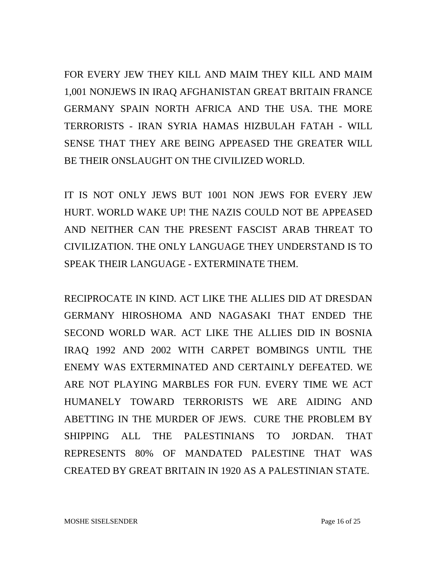FOR EVERY JEW THEY KILL AND MAIM THEY KILL AND MAIM 1,001 NONJEWS IN IRAQ AFGHANISTAN GREAT BRITAIN FRANCE GERMANY SPAIN NORTH AFRICA AND THE USA. THE MORE TERRORISTS - IRAN SYRIA HAMAS HIZBULAH FATAH - WILL SENSE THAT THEY ARE BEING APPEASED THE GREATER WILL BE THEIR ONSLAUGHT ON THE CIVILIZED WORLD.

IT IS NOT ONLY JEWS BUT 1001 NON JEWS FOR EVERY JEW HURT. WORLD WAKE UP! THE NAZIS COULD NOT BE APPEASED AND NEITHER CAN THE PRESENT FASCIST ARAB THREAT TO CIVILIZATION. THE ONLY LANGUAGE THEY UNDERSTAND IS TO SPEAK THEIR LANGUAGE - EXTERMINATE THEM.

RECIPROCATE IN KIND. ACT LIKE THE ALLIES DID AT DRESDAN GERMANY HIROSHOMA AND NAGASAKI THAT ENDED THE SECOND WORLD WAR. ACT LIKE THE ALLIES DID IN BOSNIA IRAQ 1992 AND 2002 WITH CARPET BOMBINGS UNTIL THE ENEMY WAS EXTERMINATED AND CERTAINLY DEFEATED. WE ARE NOT PLAYING MARBLES FOR FUN. EVERY TIME WE ACT HUMANELY TOWARD TERRORISTS WE ARE AIDING AND ABETTING IN THE MURDER OF JEWS. CURE THE PROBLEM BY SHIPPING ALL THE PALESTINIANS TO JORDAN. THAT REPRESENTS 80% OF MANDATED PALESTINE THAT WAS CREATED BY GREAT BRITAIN IN 1920 AS A PALESTINIAN STATE.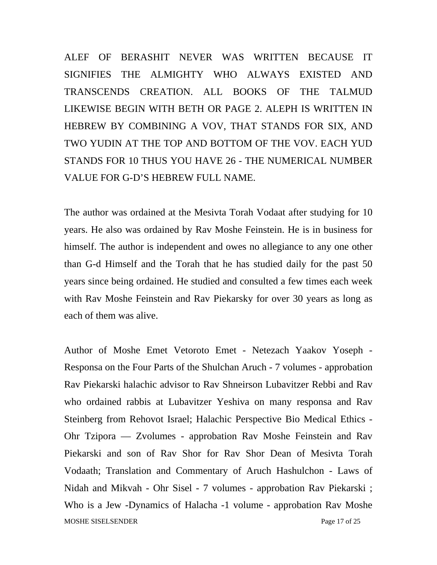ALEF OF BERASHIT NEVER WAS WRITTEN BECAUSE IT SIGNIFIES THE ALMIGHTY WHO ALWAYS EXISTED AND TRANSCENDS CREATION. ALL BOOKS OF THE TALMUD LIKEWISE BEGIN WITH BETH OR PAGE 2. ALEPH IS WRITTEN IN HEBREW BY COMBINING A VOV, THAT STANDS FOR SIX, AND TWO YUDIN AT THE TOP AND BOTTOM OF THE VOV. EACH YUD STANDS FOR 10 THUS YOU HAVE 26 - THE NUMERICAL NUMBER VALUE FOR G-D'S HEBREW FULL NAME.

The author was ordained at the Mesivta Torah Vodaat after studying for 10 years. He also was ordained by Rav Moshe Feinstein. He is in business for himself. The author is independent and owes no allegiance to any one other than G-d Himself and the Torah that he has studied daily for the past 50 years since being ordained. He studied and consulted a few times each week with Rav Moshe Feinstein and Rav Piekarsky for over 30 years as long as each of them was alive.

Author of Moshe Emet Vetoroto Emet - Netezach Yaakov Yoseph - Responsa on the Four Parts of the Shulchan Aruch - 7 volumes - approbation Rav Piekarski halachic advisor to Rav Shneirson Lubavitzer Rebbi and Rav who ordained rabbis at Lubavitzer Yeshiva on many responsa and Rav Steinberg from Rehovot Israel; Halachic Perspective Bio Medical Ethics - Ohr Tzipora — Zvolumes - approbation Rav Moshe Feinstein and Rav Piekarski and son of Rav Shor for Rav Shor Dean of Mesivta Torah Vodaath; Translation and Commentary of Aruch Hashulchon - Laws of Nidah and Mikvah - Ohr Sisel - 7 volumes - approbation Rav Piekarski ; Who is a Jew -Dynamics of Halacha -1 volume - approbation Rav Moshe MOSHE SISELSENDER Page 17 of 25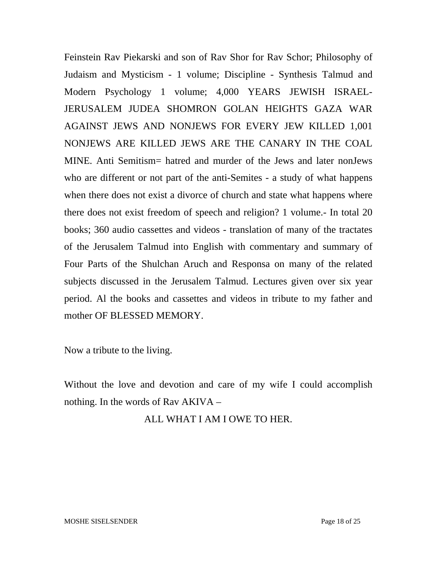Feinstein Rav Piekarski and son of Rav Shor for Rav Schor; Philosophy of Judaism and Mysticism - 1 volume; Discipline - Synthesis Talmud and Modern Psychology 1 volume; 4,000 YEARS JEWISH ISRAEL-JERUSALEM JUDEA SHOMRON GOLAN HEIGHTS GAZA WAR AGAINST JEWS AND NONJEWS FOR EVERY JEW KILLED 1,001 NONJEWS ARE KILLED JEWS ARE THE CANARY IN THE COAL MINE. Anti Semitism= hatred and murder of the Jews and later nonJews who are different or not part of the anti-Semites - a study of what happens when there does not exist a divorce of church and state what happens where there does not exist freedom of speech and religion? 1 volume.- In total 20 books; 360 audio cassettes and videos - translation of many of the tractates of the Jerusalem Talmud into English with commentary and summary of Four Parts of the Shulchan Aruch and Responsa on many of the related subjects discussed in the Jerusalem Talmud. Lectures given over six year period. Al the books and cassettes and videos in tribute to my father and mother OF BLESSED MEMORY.

Now a tribute to the living.

Without the love and devotion and care of my wife I could accomplish nothing. In the words of Rav AKIVA –

#### ALL WHAT I AM I OWE TO HER.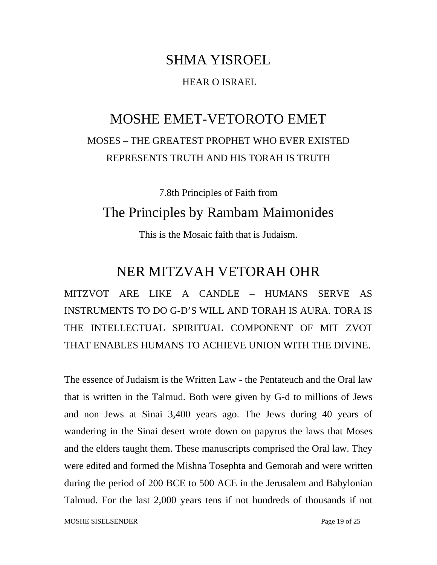# SHMA YISROEL HEAR O ISRAEL

## MOSHE EMET-VETOROTO EMET MOSES – THE GREATEST PROPHET WHO EVER EXISTED REPRESENTS TRUTH AND HIS TORAH IS TRUTH

7.8th Principles of Faith from

#### The Principles by Rambam Maimonides

This is the Mosaic faith that is Judaism.

#### NER MITZVAH VETORAH OHR

MITZVOT ARE LIKE A CANDLE – HUMANS SERVE AS INSTRUMENTS TO DO G-D'S WILL AND TORAH IS AURA. TORA IS THE INTELLECTUAL SPIRITUAL COMPONENT OF MIT ZVOT THAT ENABLES HUMANS TO ACHIEVE UNION WITH THE DIVINE.

The essence of Judaism is the Written Law - the Pentateuch and the Oral law that is written in the Talmud. Both were given by G-d to millions of Jews and non Jews at Sinai 3,400 years ago. The Jews during 40 years of wandering in the Sinai desert wrote down on papyrus the laws that Moses and the elders taught them. These manuscripts comprised the Oral law. They were edited and formed the Mishna Tosephta and Gemorah and were written during the period of 200 BCE to 500 ACE in the Jerusalem and Babylonian Talmud. For the last 2,000 years tens if not hundreds of thousands if not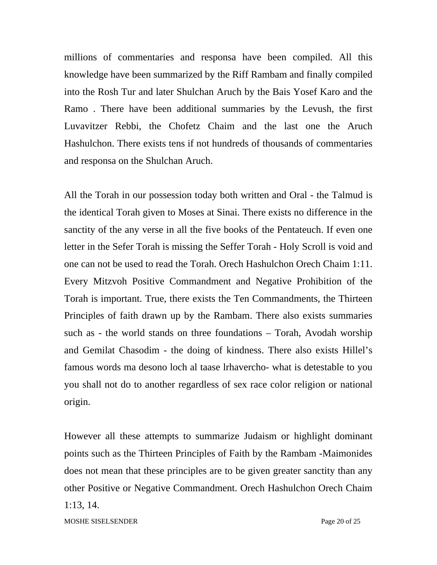millions of commentaries and responsa have been compiled. All this knowledge have been summarized by the Riff Rambam and finally compiled into the Rosh Tur and later Shulchan Aruch by the Bais Yosef Karo and the Ramo . There have been additional summaries by the Levush, the first Luvavitzer Rebbi, the Chofetz Chaim and the last one the Aruch Hashulchon. There exists tens if not hundreds of thousands of commentaries and responsa on the Shulchan Aruch.

All the Torah in our possession today both written and Oral - the Talmud is the identical Torah given to Moses at Sinai. There exists no difference in the sanctity of the any verse in all the five books of the Pentateuch. If even one letter in the Sefer Torah is missing the Seffer Torah - Holy Scroll is void and one can not be used to read the Torah. Orech Hashulchon Orech Chaim 1:11. Every Mitzvoh Positive Commandment and Negative Prohibition of the Torah is important. True, there exists the Ten Commandments, the Thirteen Principles of faith drawn up by the Rambam. There also exists summaries such as - the world stands on three foundations – Torah, Avodah worship and Gemilat Chasodim - the doing of kindness. There also exists Hillel's famous words ma desono loch al taase lrhavercho- what is detestable to you you shall not do to another regardless of sex race color religion or national origin.

However all these attempts to summarize Judaism or highlight dominant points such as the Thirteen Principles of Faith by the Rambam -Maimonides does not mean that these principles are to be given greater sanctity than any other Positive or Negative Commandment. Orech Hashulchon Orech Chaim 1:13, 14.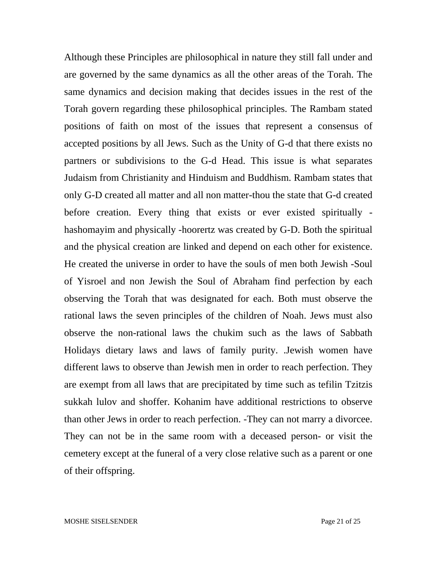Although these Principles are philosophical in nature they still fall under and are governed by the same dynamics as all the other areas of the Torah. The same dynamics and decision making that decides issues in the rest of the Torah govern regarding these philosophical principles. The Rambam stated positions of faith on most of the issues that represent a consensus of accepted positions by all Jews. Such as the Unity of G-d that there exists no partners or subdivisions to the G-d Head. This issue is what separates Judaism from Christianity and Hinduism and Buddhism. Rambam states that only G-D created all matter and all non matter-thou the state that G-d created before creation. Every thing that exists or ever existed spiritually hashomayim and physically -hoorertz was created by G-D. Both the spiritual and the physical creation are linked and depend on each other for existence. He created the universe in order to have the souls of men both Jewish -Soul of Yisroel and non Jewish the Soul of Abraham find perfection by each observing the Torah that was designated for each. Both must observe the rational laws the seven principles of the children of Noah. Jews must also observe the non-rational laws the chukim such as the laws of Sabbath Holidays dietary laws and laws of family purity. .Jewish women have different laws to observe than Jewish men in order to reach perfection. They are exempt from all laws that are precipitated by time such as tefilin Tzitzis sukkah lulov and shoffer. Kohanim have additional restrictions to observe than other Jews in order to reach perfection. -They can not marry a divorcee. They can not be in the same room with a deceased person- or visit the cemetery except at the funeral of a very close relative such as a parent or one of their offspring.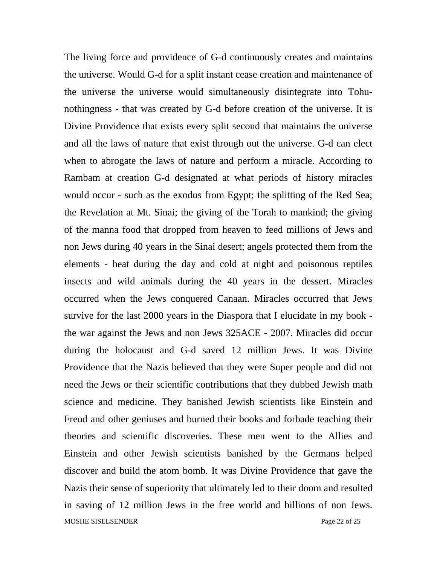The living force and providence of G-d continuously creates and maintains the universe. Would G-d for a split instant cease creation and maintenance of the universe the universe would simultaneously disintegrate into Tohunothingness - that was created by G-d before creation of the universe. It is Divine Providence that exists every split second that maintains the universe and all the laws of nature that exist through out the universe. G-d can elect when to abrogate the laws of nature and perform a miracle. According to Rambam at creation G-d designated at what periods of history miracles would occur - such as the exodus from Egypt; the splitting of the Red Sea; the Revelation at Mt. Sinai; the giving of the Torah to mankind; the giving of the manna food that dropped from heaven to feed millions of Jews and non Jews during 40 years in the Sinai desert; angels protected them from the elements - heat during the day and cold at night and poisonous reptiles insects and wild animals during the 40 years in the dessert. Miracles occurred when the Jews conquered Canaan. Miracles occurred that Jews survive for the last 2000 years in the Diaspora that I elucidate in my book the war against the Jews and non Jews 325ACE - 2007. Miracles did occur during the holocaust and G-d saved 12 million Jews. It was Divine Providence that the Nazis believed that they were Super people and did not need the Jews or their scientific contributions that they dubbed Jewish math science and medicine. They banished Jewish scientists like Einstein and Freud and other geniuses and burned their books and forbade teaching their theories and scientific discoveries. These men went to the Allies and Einstein and other Jewish scientists banished by the Germans helped discover and build the atom bomb. It was Divine Providence that gave the Nazis their sense of superiority that ultimately led to their doom and resulted in saving of 12 million Jews in the free world and billions of non Jews. MOSHE SISELSENDER Page 22 of 25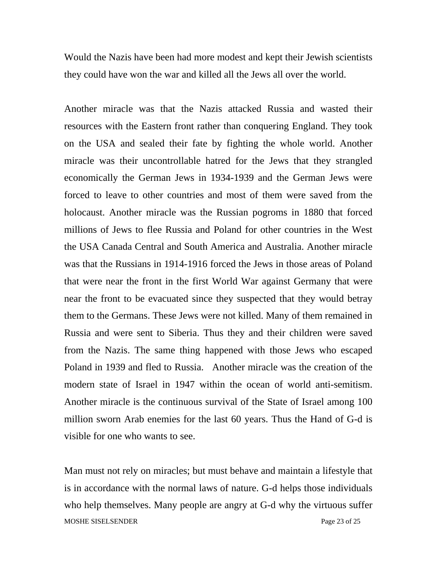Would the Nazis have been had more modest and kept their Jewish scientists they could have won the war and killed all the Jews all over the world.

Another miracle was that the Nazis attacked Russia and wasted their resources with the Eastern front rather than conquering England. They took on the USA and sealed their fate by fighting the whole world. Another miracle was their uncontrollable hatred for the Jews that they strangled economically the German Jews in 1934-1939 and the German Jews were forced to leave to other countries and most of them were saved from the holocaust. Another miracle was the Russian pogroms in 1880 that forced millions of Jews to flee Russia and Poland for other countries in the West the USA Canada Central and South America and Australia. Another miracle was that the Russians in 1914-1916 forced the Jews in those areas of Poland that were near the front in the first World War against Germany that were near the front to be evacuated since they suspected that they would betray them to the Germans. These Jews were not killed. Many of them remained in Russia and were sent to Siberia. Thus they and their children were saved from the Nazis. The same thing happened with those Jews who escaped Poland in 1939 and fled to Russia. Another miracle was the creation of the modern state of Israel in 1947 within the ocean of world anti-semitism. Another miracle is the continuous survival of the State of Israel among 100 million sworn Arab enemies for the last 60 years. Thus the Hand of G-d is visible for one who wants to see.

Man must not rely on miracles; but must behave and maintain a lifestyle that is in accordance with the normal laws of nature. G-d helps those individuals who help themselves. Many people are angry at G-d why the virtuous suffer MOSHE SISELSENDER Page 23 of 25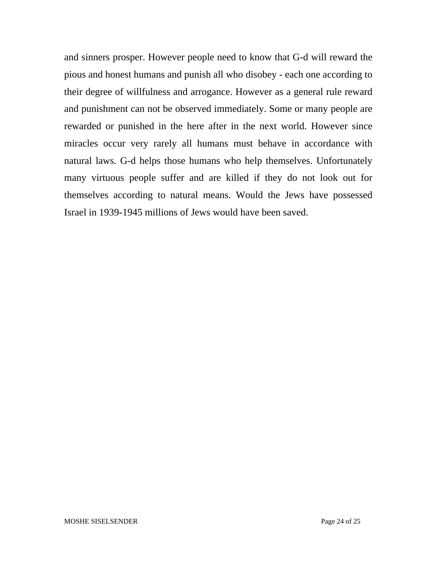and sinners prosper. However people need to know that G-d will reward the pious and honest humans and punish all who disobey - each one according to their degree of willfulness and arrogance. However as a general rule reward and punishment can not be observed immediately. Some or many people are rewarded or punished in the here after in the next world. However since miracles occur very rarely all humans must behave in accordance with natural laws. G-d helps those humans who help themselves. Unfortunately many virtuous people suffer and are killed if they do not look out for themselves according to natural means. Would the Jews have possessed Israel in 1939-1945 millions of Jews would have been saved.